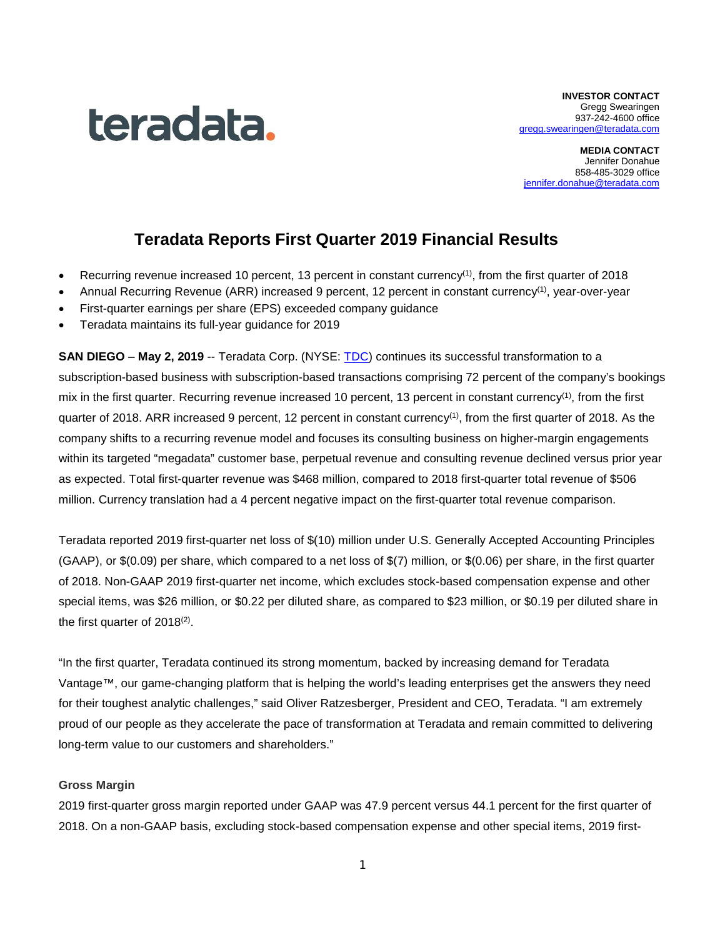

**INVESTOR CONTACT** Gregg Swearingen 937-242-4600 office [gregg.swearingen@teradata.com](mailto:gregg.swearingen@teradata.com)

**MEDIA CONTACT** Jennifer Donahue 858-485-3029 office iennifer.donahue@teradata.com

# **Teradata Reports First Quarter 2019 Financial Results**

- Recurring revenue increased 10 percent, 13 percent in constant currency<sup>(1)</sup>, from the first quarter of 2018
- Annual Recurring Revenue (ARR) increased 9 percent, 12 percent in constant currency<sup>(1)</sup>, year-over-year
- First-quarter earnings per share (EPS) exceeded company guidance
- Teradata maintains its full-year guidance for 2019

**SAN DIEGO** – May 2, 2019 -- Teradata Corp. (NYSE: **TDC**) continues its successful transformation to a subscription-based business with subscription-based transactions comprising 72 percent of the company's bookings mix in the first quarter. Recurring revenue increased 10 percent, 13 percent in constant currency<sup>(1)</sup>, from the first quarter of 2018. ARR increased 9 percent, 12 percent in constant currency(1), from the first quarter of 2018. As the company shifts to a recurring revenue model and focuses its consulting business on higher-margin engagements within its targeted "megadata" customer base, perpetual revenue and consulting revenue declined versus prior year as expected. Total first-quarter revenue was \$468 million, compared to 2018 first-quarter total revenue of \$506 million. Currency translation had a 4 percent negative impact on the first-quarter total revenue comparison.

Teradata reported 2019 first-quarter net loss of \$(10) million under U.S. Generally Accepted Accounting Principles (GAAP), or \$(0.09) per share, which compared to a net loss of \$(7) million, or \$(0.06) per share, in the first quarter of 2018. Non-GAAP 2019 first-quarter net income, which excludes stock-based compensation expense and other special items, was \$26 million, or \$0.22 per diluted share, as compared to \$23 million, or \$0.19 per diluted share in the first quarter of 2018 $(2)$ .

"In the first quarter, Teradata continued its strong momentum, backed by increasing demand for Teradata Vantage™, our game-changing platform that is helping the world's leading enterprises get the answers they need for their toughest analytic challenges," said Oliver Ratzesberger, President and CEO, Teradata. "I am extremely proud of our people as they accelerate the pace of transformation at Teradata and remain committed to delivering long-term value to our customers and shareholders."

#### **Gross Margin**

2019 first-quarter gross margin reported under GAAP was 47.9 percent versus 44.1 percent for the first quarter of 2018. On a non-GAAP basis, excluding stock-based compensation expense and other special items, 2019 first-

1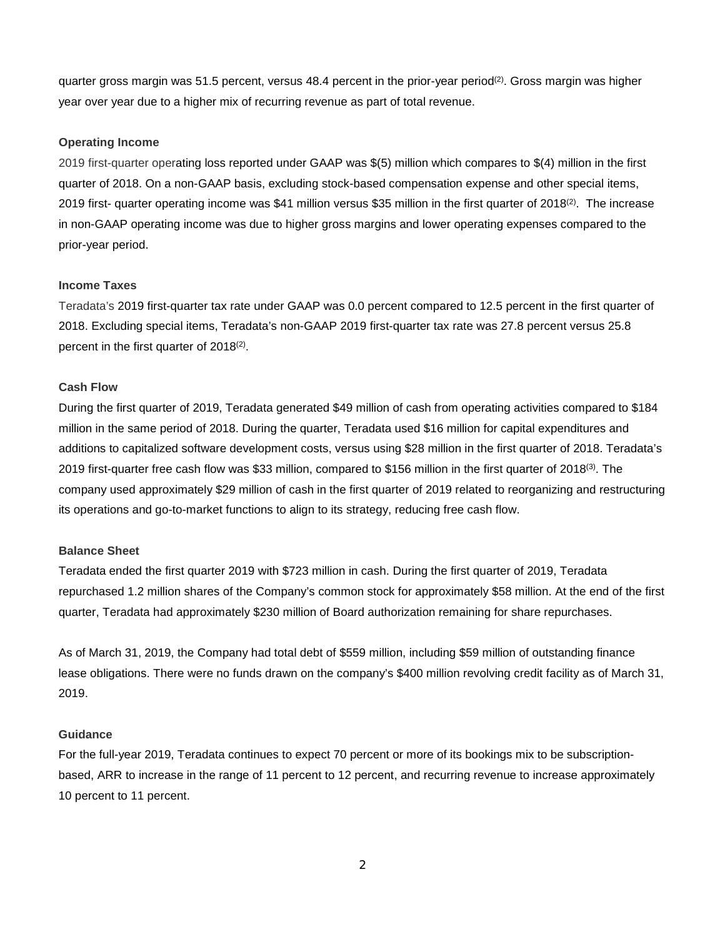quarter gross margin was 51.5 percent, versus 48.4 percent in the prior-year period<sup>(2)</sup>. Gross margin was higher year over year due to a higher mix of recurring revenue as part of total revenue.

#### **Operating Income**

2019 first-quarter operating loss reported under GAAP was \$(5) million which compares to \$(4) million in the first quarter of 2018. On a non-GAAP basis, excluding stock-based compensation expense and other special items, 2019 first- quarter operating income was \$41 million versus \$35 million in the first quarter of 2018<sup>(2)</sup>. The increase in non-GAAP operating income was due to higher gross margins and lower operating expenses compared to the prior-year period.

#### **Income Taxes**

Teradata's 2019 first-quarter tax rate under GAAP was 0.0 percent compared to 12.5 percent in the first quarter of 2018. Excluding special items, Teradata's non-GAAP 2019 first-quarter tax rate was 27.8 percent versus 25.8 percent in the first quarter of 2018<sup>(2)</sup>.

#### **Cash Flow**

During the first quarter of 2019, Teradata generated \$49 million of cash from operating activities compared to \$184 million in the same period of 2018. During the quarter, Teradata used \$16 million for capital expenditures and additions to capitalized software development costs, versus using \$28 million in the first quarter of 2018. Teradata's 2019 first-quarter free cash flow was \$33 million, compared to \$156 million in the first quarter of 2018<sup>(3)</sup>. The company used approximately \$29 million of cash in the first quarter of 2019 related to reorganizing and restructuring its operations and go-to-market functions to align to its strategy, reducing free cash flow.

#### **Balance Sheet**

Teradata ended the first quarter 2019 with \$723 million in cash. During the first quarter of 2019, Teradata repurchased 1.2 million shares of the Company's common stock for approximately \$58 million. At the end of the first quarter, Teradata had approximately \$230 million of Board authorization remaining for share repurchases.

As of March 31, 2019, the Company had total debt of \$559 million, including \$59 million of outstanding finance lease obligations. There were no funds drawn on the company's \$400 million revolving credit facility as of March 31, 2019.

### **Guidance**

For the full-year 2019, Teradata continues to expect 70 percent or more of its bookings mix to be subscriptionbased, ARR to increase in the range of 11 percent to 12 percent, and recurring revenue to increase approximately 10 percent to 11 percent.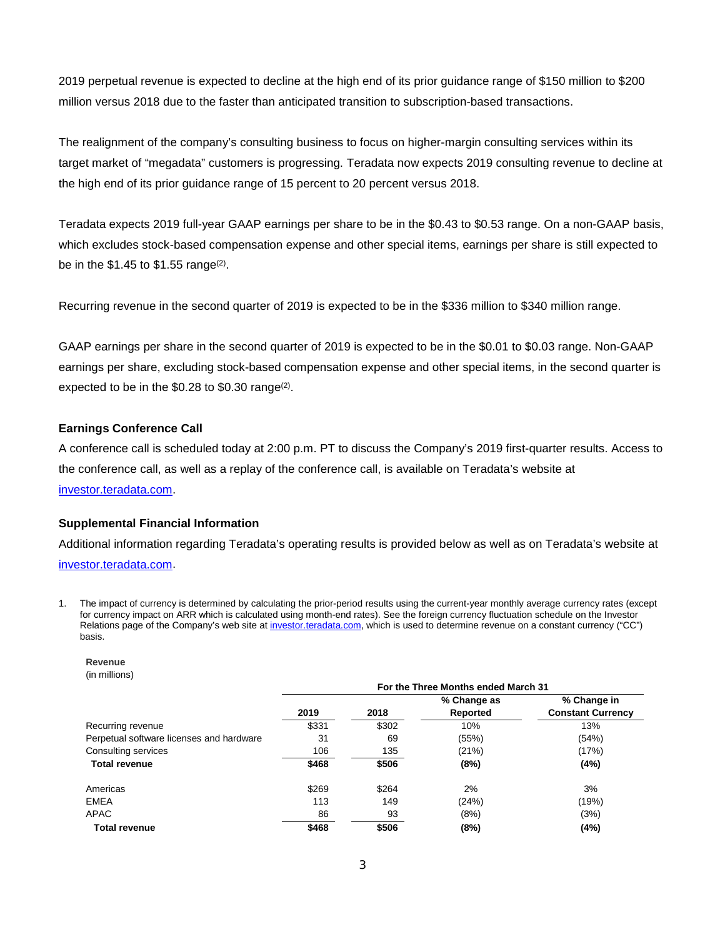2019 perpetual revenue is expected to decline at the high end of its prior guidance range of \$150 million to \$200 million versus 2018 due to the faster than anticipated transition to subscription-based transactions.

The realignment of the company's consulting business to focus on higher-margin consulting services within its target market of "megadata" customers is progressing. Teradata now expects 2019 consulting revenue to decline at the high end of its prior guidance range of 15 percent to 20 percent versus 2018.

Teradata expects 2019 full-year GAAP earnings per share to be in the \$0.43 to \$0.53 range. On a non-GAAP basis, which excludes stock-based compensation expense and other special items, earnings per share is still expected to be in the \$1.45 to \$1.55 range $^{(2)}$ .

Recurring revenue in the second quarter of 2019 is expected to be in the \$336 million to \$340 million range.

GAAP earnings per share in the second quarter of 2019 is expected to be in the \$0.01 to \$0.03 range. Non-GAAP earnings per share, excluding stock-based compensation expense and other special items, in the second quarter is expected to be in the  $$0.28$  to  $$0.30$  range $^{(2)}$ .

## **Earnings Conference Call**

A conference call is scheduled today at 2:00 p.m. PT to discuss the Company's 2019 first-quarter results. Access to the conference call, as well as a replay of the conference call, is available on Teradata's website at [investor.teradata.com.](http://investor.teradata.com/about-teradata/default.aspx#top)

#### **Supplemental Financial Information**

Additional information regarding Teradata's operating results is provided below as well as on Teradata's website at [investor.teradata.com.](https://investor.teradata.com/)

1. The impact of currency is determined by calculating the prior-period results using the current-year monthly average currency rates (except for currency impact on ARR which is calculated using month-end rates). See the foreign currency fluctuation schedule on the Investor Relations page of the Company's web site a[t investor.teradata.com,](http://investor.teradata.com/about-teradata/default.aspx#top) which is used to determine revenue on a constant currency ("CC") basis.

**Revenue** (in millions)

|                                          | For the Three Months ended March 31 |       |             |                          |  |  |
|------------------------------------------|-------------------------------------|-------|-------------|--------------------------|--|--|
|                                          |                                     |       | % Change as | % Change in              |  |  |
|                                          | 2019                                | 2018  | Reported    | <b>Constant Currency</b> |  |  |
| Recurring revenue                        | \$331                               | \$302 | 10%         | 13%                      |  |  |
| Perpetual software licenses and hardware | 31                                  | 69    | (55%)       | (54%)                    |  |  |
| Consulting services                      | 106                                 | 135   | (21%)       | (17%)                    |  |  |
| <b>Total revenue</b>                     | \$468                               | \$506 | (8%)        | (4%)                     |  |  |
| Americas                                 | \$269                               | \$264 | 2%          | 3%                       |  |  |
| EMEA                                     | 113                                 | 149   | (24%)       | (19%)                    |  |  |
| APAC                                     | 86                                  | 93    | (8%)        | (3%)                     |  |  |
| <b>Total revenue</b>                     | \$468                               | \$506 | (8%)        | (4%)                     |  |  |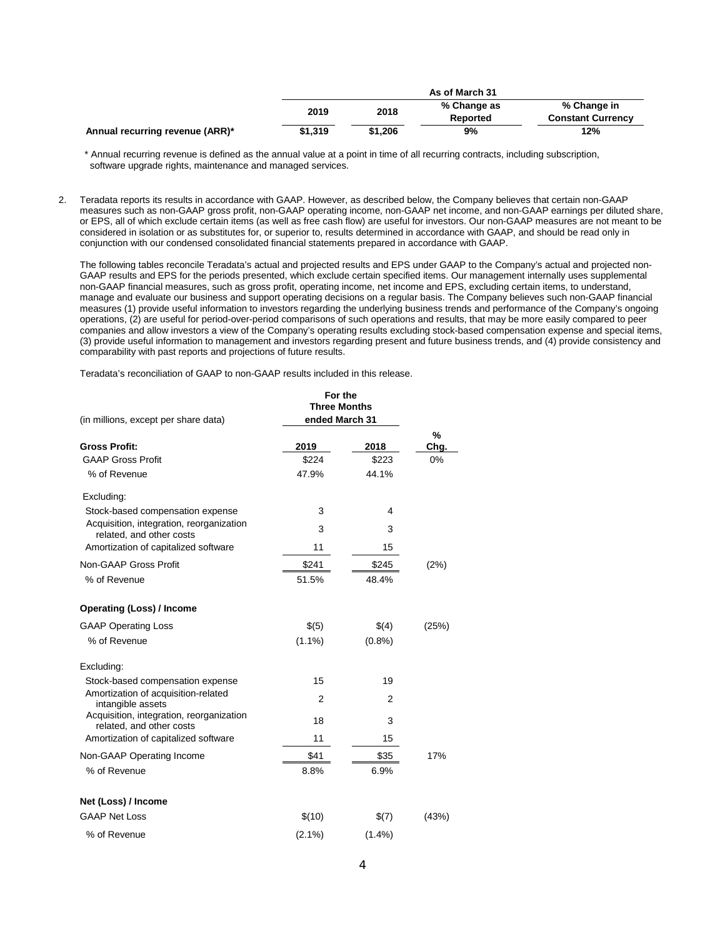|                                 |         |         | As of March 31  |                          |
|---------------------------------|---------|---------|-----------------|--------------------------|
|                                 | 2019    | 2018    | % Change as     | % Change in              |
|                                 |         |         | <b>Reported</b> | <b>Constant Currency</b> |
| Annual recurring revenue (ARR)* | \$1.319 | \$1,206 | 9%              | 12%                      |

\* Annual recurring revenue is defined as the annual value at a point in time of all recurring contracts, including subscription, software upgrade rights, maintenance and managed services.

2. Teradata reports its results in accordance with GAAP. However, as described below, the Company believes that certain non-GAAP measures such as non-GAAP gross profit, non-GAAP operating income, non-GAAP net income, and non-GAAP earnings per diluted share, or EPS, all of which exclude certain items (as well as free cash flow) are useful for investors. Our non-GAAP measures are not meant to be considered in isolation or as substitutes for, or superior to, results determined in accordance with GAAP, and should be read only in conjunction with our condensed consolidated financial statements prepared in accordance with GAAP.

The following tables reconcile Teradata's actual and projected results and EPS under GAAP to the Company's actual and projected non-GAAP results and EPS for the periods presented, which exclude certain specified items. Our management internally uses supplemental non-GAAP financial measures, such as gross profit, operating income, net income and EPS, excluding certain items, to understand, manage and evaluate our business and support operating decisions on a regular basis. The Company believes such non-GAAP financial measures (1) provide useful information to investors regarding the underlying business trends and performance of the Company's ongoing operations, (2) are useful for period-over-period comparisons of such operations and results, that may be more easily compared to peer companies and allow investors a view of the Company's operating results excluding stock-based compensation expense and special items, (3) provide useful information to management and investors regarding present and future business trends, and (4) provide consistency and comparability with past reports and projections of future results.

Teradata's reconciliation of GAAP to non-GAAP results included in this release.

| (in millions, except per share data)                                 | For the<br><b>Three Months</b><br>ended March 31 |           |           |
|----------------------------------------------------------------------|--------------------------------------------------|-----------|-----------|
| <b>Gross Profit:</b>                                                 | 2019                                             | 2018      | %<br>Chg. |
| <b>GAAP Gross Profit</b>                                             | \$224                                            | \$223     | 0%        |
| % of Revenue                                                         | 47.9%                                            | 44.1%     |           |
| Excluding:                                                           |                                                  |           |           |
| Stock-based compensation expense                                     | 3                                                | 4         |           |
| Acquisition, integration, reorganization<br>related, and other costs | 3                                                | 3         |           |
| Amortization of capitalized software                                 | 11                                               | 15        |           |
| Non-GAAP Gross Profit                                                | \$241                                            | \$245     | (2%)      |
| % of Revenue                                                         | 51.5%                                            | 48.4%     |           |
| Operating (Loss) / Income                                            |                                                  |           |           |
| <b>GAAP Operating Loss</b>                                           | \$(5)                                            | \$(4)     | (25%)     |
| % of Revenue                                                         | $(1.1\%)$                                        | (0.8% )   |           |
| Excluding:                                                           |                                                  |           |           |
| Stock-based compensation expense                                     | 15                                               | 19        |           |
| Amortization of acquisition-related<br>intangible assets             | 2                                                | 2         |           |
| Acquisition, integration, reorganization<br>related, and other costs | 18                                               | 3         |           |
| Amortization of capitalized software                                 | 11                                               | 15        |           |
| Non-GAAP Operating Income                                            | \$41                                             | \$35      | 17%       |
| % of Revenue                                                         | 8.8%                                             | 6.9%      |           |
| Net (Loss) / Income                                                  |                                                  |           |           |
| <b>GAAP Net Loss</b>                                                 | \$(10)                                           | \$(7)     | (43%)     |
| % of Revenue                                                         | $(2.1\%)$                                        | $(1.4\%)$ |           |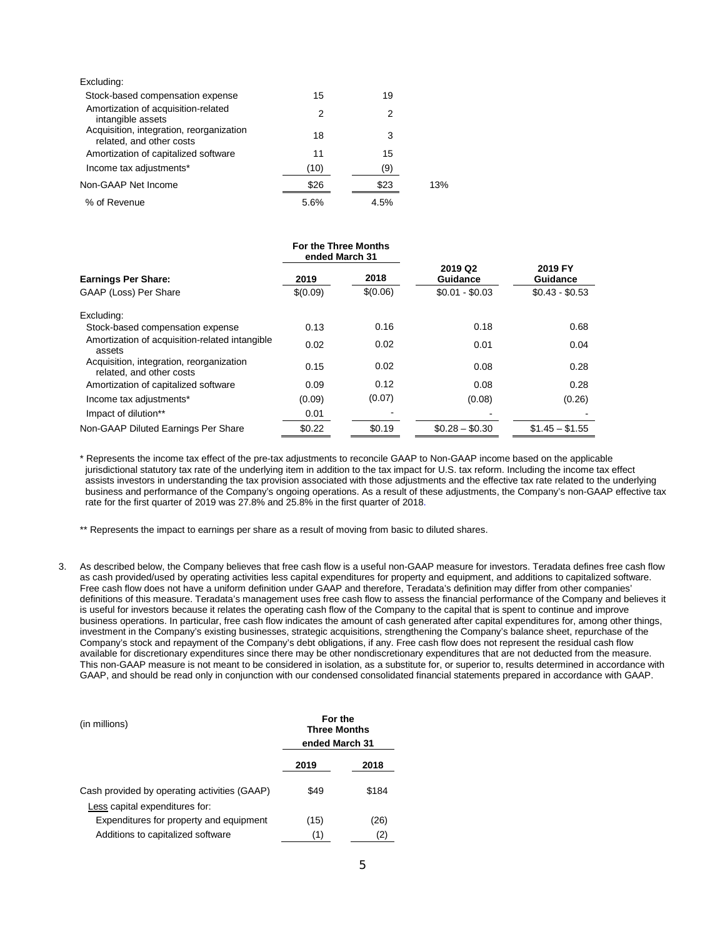| Excluding:                                                           |      |      |     |
|----------------------------------------------------------------------|------|------|-----|
| Stock-based compensation expense                                     | 15   | 19   |     |
| Amortization of acquisition-related<br>intangible assets             | 2    | 2    |     |
| Acquisition, integration, reorganization<br>related, and other costs | 18   | 3    |     |
| Amortization of capitalized software                                 | 11   | 15   |     |
| Income tax adjustments*                                              | (10) | (9)  |     |
| Non-GAAP Net Income                                                  | \$26 | \$23 | 13% |
| % of Revenue                                                         | 5.6% | 4.5% |     |

|                                                                      | For the Three Months<br>ended March 31 |          |                                 |                     |  |  |
|----------------------------------------------------------------------|----------------------------------------|----------|---------------------------------|---------------------|--|--|
| <b>Earnings Per Share:</b>                                           | 2019                                   | 2018     | 2019 Q <sub>2</sub><br>Guidance | 2019 FY<br>Guidance |  |  |
| GAAP (Loss) Per Share                                                | \$(0.09)                               | \$(0.06) | $$0.01 - $0.03$                 | $$0.43 - $0.53$     |  |  |
| Excluding:                                                           |                                        |          |                                 |                     |  |  |
| Stock-based compensation expense                                     | 0.13                                   | 0.16     | 0.18                            | 0.68                |  |  |
| Amortization of acquisition-related intangible<br>assets             | 0.02                                   | 0.02     | 0.01                            | 0.04                |  |  |
| Acquisition, integration, reorganization<br>related, and other costs | 0.15                                   | 0.02     | 0.08                            | 0.28                |  |  |
| Amortization of capitalized software                                 | 0.09                                   | 0.12     | 0.08                            | 0.28                |  |  |
| Income tax adjustments*                                              | (0.09)                                 | (0.07)   | (0.08)                          | (0.26)              |  |  |
| Impact of dilution**                                                 | 0.01                                   |          |                                 |                     |  |  |
| Non-GAAP Diluted Earnings Per Share                                  | \$0.22                                 | \$0.19   | $$0.28 - $0.30$                 | $$1.45 - $1.55$     |  |  |

\* Represents the income tax effect of the pre-tax adjustments to reconcile GAAP to Non-GAAP income based on the applicable jurisdictional statutory tax rate of the underlying item in addition to the tax impact for U.S. tax reform. Including the income tax effect assists investors in understanding the tax provision associated with those adjustments and the effective tax rate related to the underlying business and performance of the Company's ongoing operations. As a result of these adjustments, the Company's non-GAAP effective tax rate for the first quarter of 2019 was 27.8% and 25.8% in the first quarter of 2018.

\*\* Represents the impact to earnings per share as a result of moving from basic to diluted shares.

3. As described below, the Company believes that free cash flow is a useful non-GAAP measure for investors. Teradata defines free cash flow as cash provided/used by operating activities less capital expenditures for property and equipment, and additions to capitalized software. Free cash flow does not have a uniform definition under GAAP and therefore, Teradata's definition may differ from other companies' definitions of this measure. Teradata's management uses free cash flow to assess the financial performance of the Company and believes it is useful for investors because it relates the operating cash flow of the Company to the capital that is spent to continue and improve business operations. In particular, free cash flow indicates the amount of cash generated after capital expenditures for, among other things, investment in the Company's existing businesses, strategic acquisitions, strengthening the Company's balance sheet, repurchase of the Company's stock and repayment of the Company's debt obligations, if any. Free cash flow does not represent the residual cash flow available for discretionary expenditures since there may be other nondiscretionary expenditures that are not deducted from the measure. This non-GAAP measure is not meant to be considered in isolation, as a substitute for, or superior to, results determined in accordance with GAAP, and should be read only in conjunction with our condensed consolidated financial statements prepared in accordance with GAAP.

| (in millions)                                                                  | For the<br><b>Three Months</b><br>ended March 31 |            |  |
|--------------------------------------------------------------------------------|--------------------------------------------------|------------|--|
|                                                                                | 2019                                             | 2018       |  |
| Cash provided by operating activities (GAAP)<br>Less capital expenditures for: | \$49                                             | \$184      |  |
| Expenditures for property and equipment<br>Additions to capitalized software   | (15)<br>(1)                                      | (26)<br>2) |  |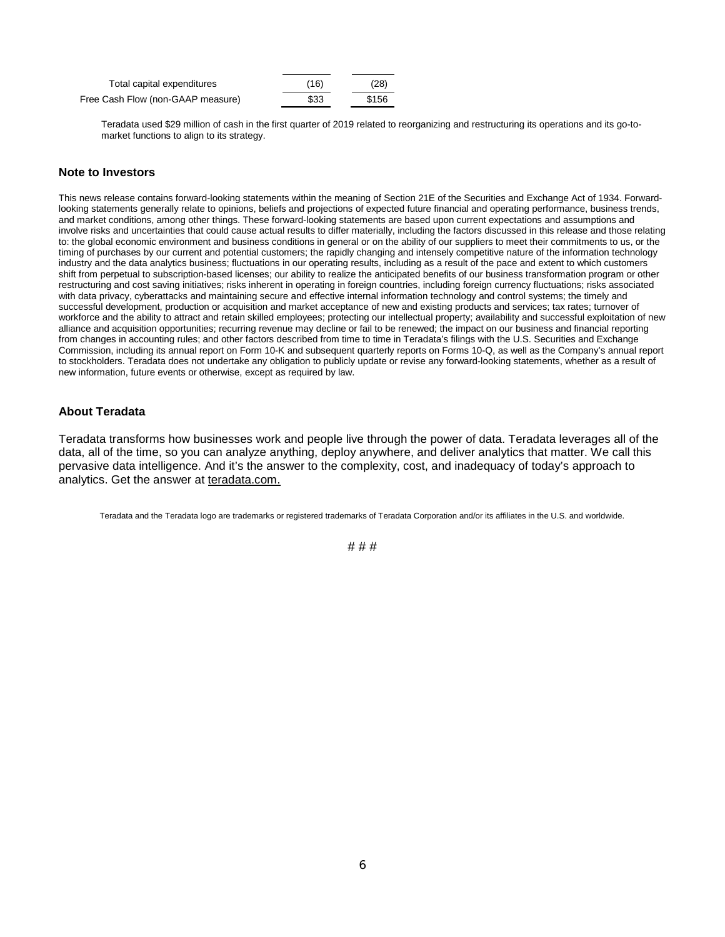| Total capital expenditures        | (16) | (28)  |
|-----------------------------------|------|-------|
| Free Cash Flow (non-GAAP measure) | \$33 | \$156 |

Teradata used \$29 million of cash in the first quarter of 2019 related to reorganizing and restructuring its operations and its go-tomarket functions to align to its strategy.

#### **Note to Investors**

This news release contains forward-looking statements within the meaning of Section 21E of the Securities and Exchange Act of 1934. Forwardlooking statements generally relate to opinions, beliefs and projections of expected future financial and operating performance, business trends, and market conditions, among other things. These forward-looking statements are based upon current expectations and assumptions and involve risks and uncertainties that could cause actual results to differ materially, including the factors discussed in this release and those relating to: the global economic environment and business conditions in general or on the ability of our suppliers to meet their commitments to us, or the timing of purchases by our current and potential customers; the rapidly changing and intensely competitive nature of the information technology industry and the data analytics business; fluctuations in our operating results, including as a result of the pace and extent to which customers shift from perpetual to subscription-based licenses; our ability to realize the anticipated benefits of our business transformation program or other restructuring and cost saving initiatives; risks inherent in operating in foreign countries, including foreign currency fluctuations; risks associated with data privacy, cyberattacks and maintaining secure and effective internal information technology and control systems; the timely and successful development, production or acquisition and market acceptance of new and existing products and services; tax rates; turnover of workforce and the ability to attract and retain skilled employees; protecting our intellectual property; availability and successful exploitation of new alliance and acquisition opportunities; recurring revenue may decline or fail to be renewed; the impact on our business and financial reporting from changes in accounting rules; and other factors described from time to time in Teradata's filings with the U.S. Securities and Exchange Commission, including its annual report on Form 10-K and subsequent quarterly reports on Forms 10-Q, as well as the Company's annual report to stockholders. Teradata does not undertake any obligation to publicly update or revise any forward-looking statements, whether as a result of new information, future events or otherwise, except as required by law.

#### **About Teradata**

Teradata transforms how businesses work and people live through the power of data. Teradata leverages all of the data, all of the time, so you can analyze anything, deploy anywhere, and deliver analytics that matter. We call this pervasive data intelligence. And it's the answer to the complexity, cost, and inadequacy of today's approach to analytics. Get the answer at [teradata.com.](http://www.teradata.com/)

Teradata and the Teradata logo are trademarks or registered trademarks of Teradata Corporation and/or its affiliates in the U.S. and worldwide.

# # #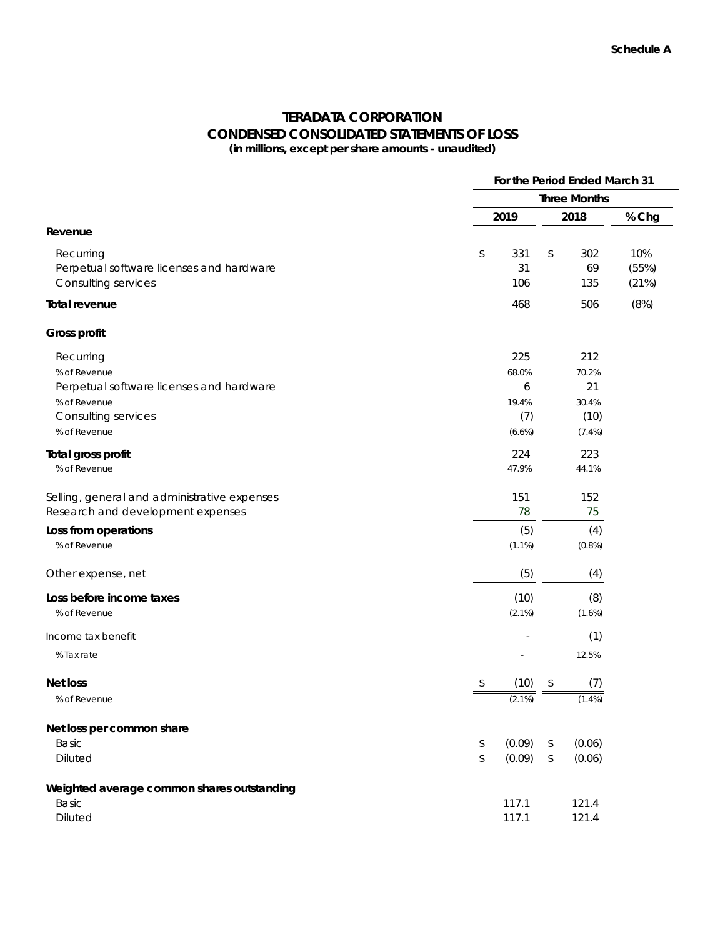## **TERADATA CORPORATION CONDENSED CONSOLIDATED STATEMENTS OF LOSS (in millions, except per share amounts - unaudited)**

|                                              | For the Period Ended March 31 |                         |           |       |
|----------------------------------------------|-------------------------------|-------------------------|-----------|-------|
|                                              | <b>Three Months</b>           |                         |           |       |
|                                              | 2019                          |                         | 2018      | % Chg |
| Revenue                                      |                               |                         |           |       |
| Recurring                                    | \$<br>331                     | \$                      | 302       | 10%   |
| Perpetual software licenses and hardware     | 31                            |                         | 69        | (55%) |
| Consulting services                          | 106                           |                         | 135       | (21%) |
| <b>Total revenue</b>                         | 468                           |                         | 506       | (8%)  |
| Gross profit                                 |                               |                         |           |       |
| Recurring                                    | 225                           |                         | 212       |       |
| % of Revenue                                 | 68.0%                         |                         | 70.2%     |       |
| Perpetual software licenses and hardware     | 6                             |                         | 21        |       |
| % of Revenue                                 | 19.4%                         |                         | 30.4%     |       |
| Consulting services                          | (7)                           |                         | (10)      |       |
| % of Revenue                                 | (6.6%)                        |                         | $(7.4\%)$ |       |
| <b>Total gross profit</b>                    | 224                           |                         | 223       |       |
| % of Revenue                                 | 47.9%                         |                         | 44.1%     |       |
| Selling, general and administrative expenses | 151                           |                         | 152       |       |
| Research and development expenses            | 78                            |                         | 75        |       |
| Loss from operations                         | (5)                           |                         | (4)       |       |
| % of Revenue                                 | $(1.1\%)$                     |                         | (0.8%)    |       |
| Other expense, net                           | (5)                           |                         | (4)       |       |
| Loss before income taxes                     | (10)                          |                         | (8)       |       |
| % of Revenue                                 | $(2.1\%)$                     |                         | (1.6%)    |       |
| Income tax benefit                           |                               |                         | (1)       |       |
| % Tax rate                                   |                               |                         | 12.5%     |       |
| <b>Net loss</b>                              | \$<br>(10)                    | \$                      | (7)       |       |
| % of Revenue                                 | (2.1%)                        |                         | $(1.4\%)$ |       |
| Net loss per common share                    |                               |                         |           |       |
| Basic                                        | \$<br>(0.09)                  | $\,$                    | (0.06)    |       |
| Diluted                                      | \$<br>(0.09)                  | $\sqrt[6]{\frac{1}{2}}$ | (0.06)    |       |
| Weighted average common shares outstanding   |                               |                         |           |       |
| Basic                                        | 117.1                         |                         | 121.4     |       |
| Diluted                                      | 117.1                         |                         | 121.4     |       |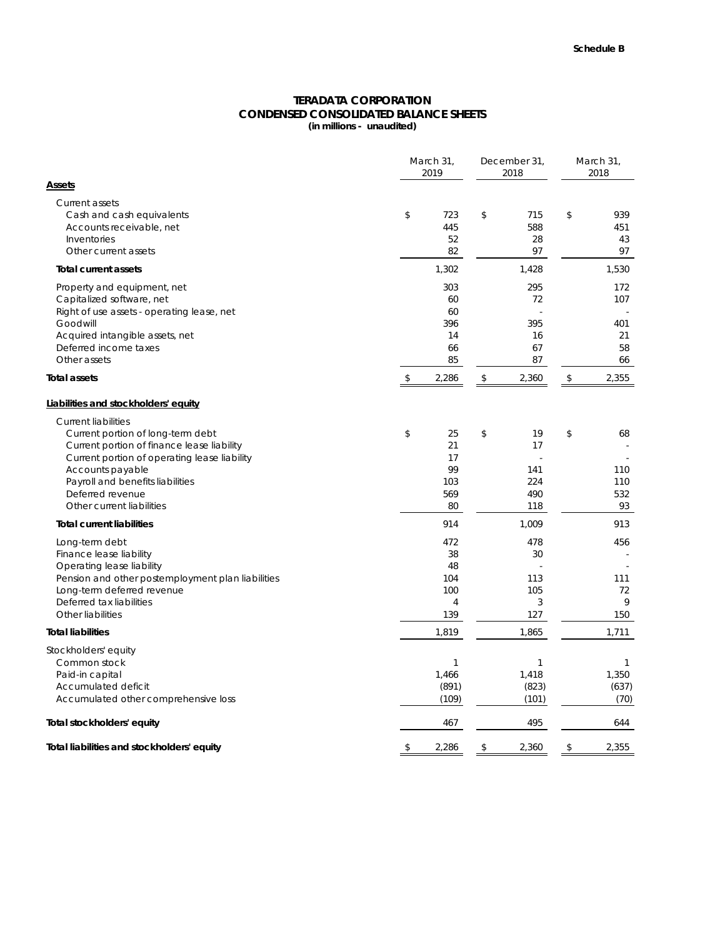#### **CONDENSED CONSOLIDATED BALANCE SHEETS (in millions - unaudited) TERADATA CORPORATION**

|                                                                                                                                                                                                                                                                        | March 31,<br>2019                              | December 31,<br>2018                       | March 31,<br>2018                      |  |
|------------------------------------------------------------------------------------------------------------------------------------------------------------------------------------------------------------------------------------------------------------------------|------------------------------------------------|--------------------------------------------|----------------------------------------|--|
| Assets                                                                                                                                                                                                                                                                 |                                                |                                            |                                        |  |
| Current assets<br>Cash and cash equivalents<br>Accounts receivable, net<br>Inventories<br>Other current assets                                                                                                                                                         | \$<br>723<br>445<br>52<br>82                   | \$<br>715<br>588<br>28<br>97               | \$<br>939<br>451<br>43<br>97           |  |
| <b>Total current assets</b>                                                                                                                                                                                                                                            | 1,302                                          | 1,428                                      | 1,530                                  |  |
| Property and equipment, net<br>Capitalized software, net<br>Right of use assets - operating lease, net<br>Goodwill                                                                                                                                                     | 303<br>60<br>60<br>396                         | 295<br>72<br>395                           | 172<br>107<br>401                      |  |
| Acquired intangible assets, net<br>Deferred income taxes<br>Other assets                                                                                                                                                                                               | 14<br>66<br>85                                 | 16<br>67<br>87                             | 21<br>58<br>66                         |  |
| <b>Total assets</b>                                                                                                                                                                                                                                                    | \$<br>2,286                                    | \$<br>2,360                                | \$<br>2,355                            |  |
| Liabilities and stockholders' equity                                                                                                                                                                                                                                   |                                                |                                            |                                        |  |
| <b>Current liabilities</b><br>Current portion of long-term debt<br>Current portion of finance lease liability<br>Current portion of operating lease liability<br>Accounts payable<br>Payroll and benefits liabilities<br>Deferred revenue<br>Other current liabilities | \$<br>25<br>21<br>17<br>99<br>103<br>569<br>80 | \$<br>19<br>17<br>141<br>224<br>490<br>118 | \$<br>68<br>110<br>110<br>532<br>93    |  |
| <b>Total current liabilities</b>                                                                                                                                                                                                                                       | 914                                            | 1,009                                      | 913                                    |  |
| Long-term debt<br>Finance lease liability<br>Operating lease liability<br>Pension and other postemployment plan liabilities<br>Long-term deferred revenue<br>Deferred tax liabilities<br>Other liabilities                                                             | 472<br>38<br>48<br>104<br>100<br>4<br>139      | 478<br>30<br>113<br>105<br>3<br>127        | 456<br>111<br>72<br>9<br>150           |  |
| <b>Total liabilities</b>                                                                                                                                                                                                                                               | 1,819                                          | 1,865                                      | 1,711                                  |  |
| Stockholders' equity<br>Common stock<br>Paid-in capital<br>Accumulated deficit<br>Accumulated other comprehensive loss                                                                                                                                                 | 1<br>1,466<br>(891)<br>(109)                   | 1<br>1,418<br>(823)<br>(101)               | $\mathbf{1}$<br>1,350<br>(637)<br>(70) |  |
| Total stockholders' equity                                                                                                                                                                                                                                             | 467                                            | 495                                        | 644                                    |  |
| Total liabilities and stockholders' equity                                                                                                                                                                                                                             | 2,286<br>\$                                    | 2,360<br>\$                                | 2,355<br>\$                            |  |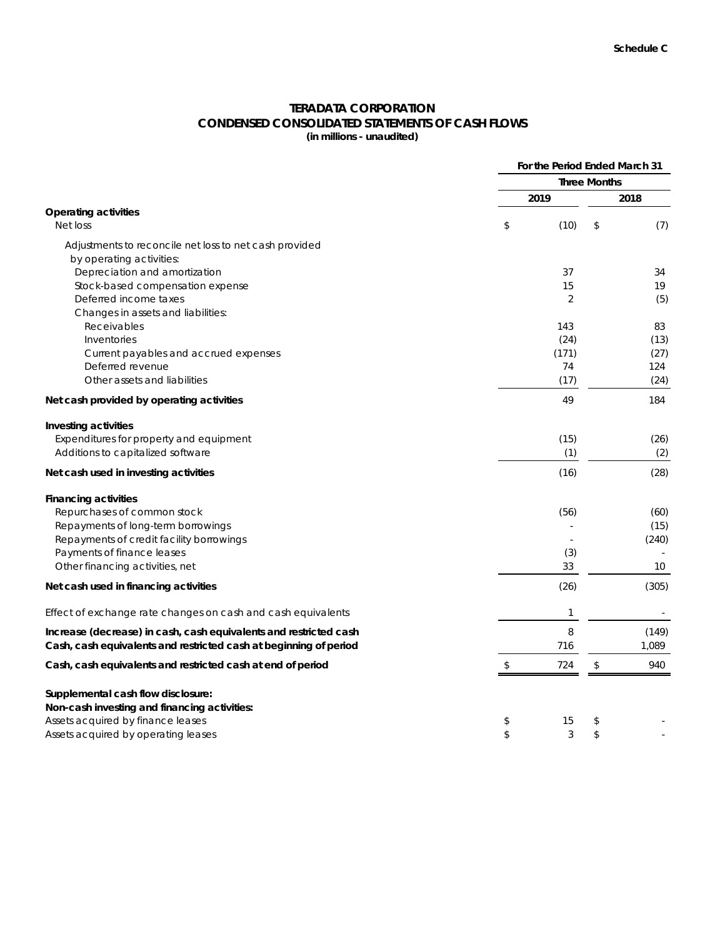## **TERADATA CORPORATION CONDENSED CONSOLIDATED STATEMENTS OF CASH FLOWS (in millions - unaudited)**

|                                                                   | For the Period Ended March 31 |                     |                |  |  |
|-------------------------------------------------------------------|-------------------------------|---------------------|----------------|--|--|
|                                                                   |                               | <b>Three Months</b> |                |  |  |
|                                                                   | 2019                          |                     | 2018           |  |  |
| <b>Operating activities</b>                                       |                               |                     |                |  |  |
| Net loss                                                          | \$<br>(10)                    | \$                  | (7)            |  |  |
| Adjustments to reconcile net loss to net cash provided            |                               |                     |                |  |  |
| by operating activities:                                          |                               |                     |                |  |  |
| Depreciation and amortization                                     | 37                            |                     | 34             |  |  |
| Stock-based compensation expense                                  | 15                            |                     | 19             |  |  |
| Deferred income taxes                                             | $\overline{2}$                |                     | (5)            |  |  |
| Changes in assets and liabilities:                                |                               |                     |                |  |  |
| Receivables                                                       | 143                           |                     | 83             |  |  |
| Inventories                                                       | (24)                          |                     | (13)           |  |  |
| Current payables and accrued expenses                             | (171)                         |                     | (27)           |  |  |
| Deferred revenue                                                  | 74                            |                     | 124            |  |  |
| Other assets and liabilities                                      | (17)                          |                     | (24)           |  |  |
| Net cash provided by operating activities                         | 49                            |                     | 184            |  |  |
| Investing activities                                              |                               |                     |                |  |  |
| Expenditures for property and equipment                           | (15)                          |                     | (26)           |  |  |
| Additions to capitalized software                                 | (1)                           |                     | (2)            |  |  |
| Net cash used in investing activities                             | (16)                          |                     | (28)           |  |  |
| <b>Financing activities</b>                                       |                               |                     |                |  |  |
| Repurchases of common stock                                       | (56)                          |                     | (60)           |  |  |
| Repayments of long-term borrowings                                |                               |                     | (15)           |  |  |
| Repayments of credit facility borrowings                          |                               |                     | (240)          |  |  |
| Payments of finance leases                                        | (3)                           |                     |                |  |  |
| Other financing activities, net                                   | 33                            |                     | 10             |  |  |
| Net cash used in financing activities                             | (26)                          |                     | (305)          |  |  |
| Effect of exchange rate changes on cash and cash equivalents      | 1                             |                     | $\blacksquare$ |  |  |
| Increase (decrease) in cash, cash equivalents and restricted cash | 8                             |                     | (149)          |  |  |
| Cash, cash equivalents and restricted cash at beginning of period | 716                           |                     | 1,089          |  |  |
| Cash, cash equivalents and restricted cash at end of period       | \$<br>724                     | \$                  | 940            |  |  |
| Supplemental cash flow disclosure:                                |                               |                     |                |  |  |
| Non-cash investing and financing activities:                      |                               |                     |                |  |  |
| Assets acquired by finance leases                                 | \$<br>15                      | \$                  |                |  |  |
| Assets acquired by operating leases                               | \$<br>3                       | \$                  |                |  |  |
|                                                                   |                               |                     |                |  |  |